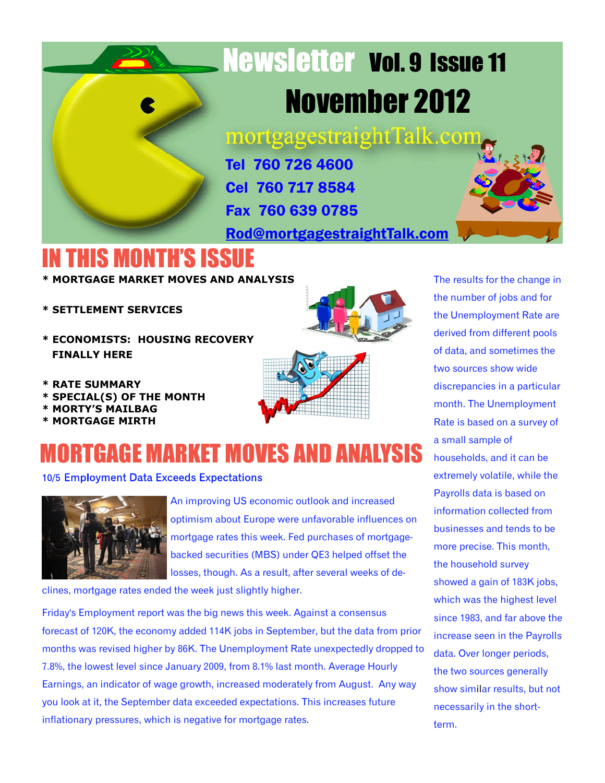# Newsletter Vol. 9 Issue 11 November 2012

mortgagestraightTalk.com

Tel 760 726 4600 Cel 760 717 8584 Fax 760 639 0785

[Rod@mortgagestraightTalk.com](mailto:Rod@MortgageStraightTalk.com)

### IN THIS MONTH'S ISSUE

**\* MORTGAGE MARKET MOVES AND ANALYSIS**

- **\* SETTLEMENT SERVICES**
- **\* ECONOMISTS: HOUSING RECOVERY FINALLY HERE**
- **\* RATE SUMMARY**
- **\* SPECIAL(S) OF THE MONTH**
- **\* MORTY'S MAILBAG**
- **\* MORTGAGE MIRTH**

### **IORTGAGE MARKET MOVES AND ANALYSIS**

10/5 Employment Data Exceeds Expectations



An improving US economic outlook and increased optimism about Europe were unfavorable influences on mortgage rates this week. Fed purchases of mortgagebacked securities (MBS) under QE3 helped offset the losses, though. As a result, after several weeks of de-

clines, mortgage rates ended the week just slightly higher.

Friday's Employment report was the big news this week. Against a consensus forecast of 120K, the economy added 114K jobs in September, but the data from prior months was revised higher by 86K. The Unemployment Rate unexpectedly dropped to 7.8%, the lowest level since January 2009, from 8.1% last month. Average Hourly Earnings, an indicator of wage growth, increased moderately from August. Any way you look at it, the September data exceeded expectations. This increases future inflationary pressures, which is negative for mortgage rates.

The results for the change in the number of jobs and for the Unemployment Rate are derived from different pools of data, and sometimes the two sources show wide discrepancies in a particular month. The Unemployment Rate is based on a survey of a small sample of households, and it can be extremely volatile, while the Payrolls data is based on information collected from businesses and tends to be more precise. This month, the household survey showed a gain of 183K jobs, which was the highest level since 1983, and far above the increase seen in the Payrolls data. Over longer periods, the two sources generally show similar results, but not necessarily in the shortterm.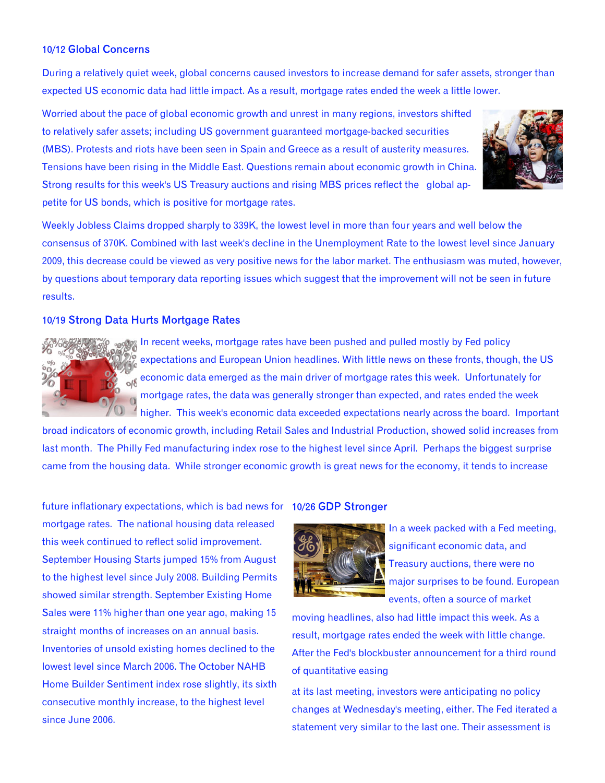#### 10/12 Global Concerns

During a relatively quiet week, global concerns caused investors to increase demand for safer assets, stronger than expected US economic data had little impact. As a result, mortgage rates ended the week a little lower.

Worried about the pace of global economic growth and unrest in many regions, investors shifted to relatively safer assets; including US government guaranteed mortgage-backed securities (MBS). Protests and riots have been seen in Spain and Greece as a result of austerity measures. Tensions have been rising in the Middle East. Questions remain about economic growth in China. Strong results for this week's US Treasury auctions and rising MBS prices reflect the global appetite for US bonds, which is positive for mortgage rates.



Weekly Jobless Claims dropped sharply to 339K, the lowest level in more than four years and well below the consensus of 370K. Combined with last week's decline in the Unemployment Rate to the lowest level since January 2009, this decrease could be viewed as very positive news for the labor market. The enthusiasm was muted, however, by questions about temporary data reporting issues which suggest that the improvement will not be seen in future results.

#### 10/19 Strong Data Hurts Mortgage Rates



In recent weeks, mortgage rates have been pushed and pulled mostly by Fed policy expectations and European Union headlines. With little news on these fronts, though, the US economic data emerged as the main driver of mortgage rates this week. Unfortunately for mortgage rates, the data was generally stronger than expected, and rates ended the week higher. This week's economic data exceeded expectations nearly across the board. Important

broad indicators of economic growth, including Retail Sales and Industrial Production, showed solid increases from last month. The Philly Fed manufacturing index rose to the highest level since April. Perhaps the biggest surprise came from the housing data. While stronger economic growth is great news for the economy, it tends to increase

future inflationary expectations, which is bad news for 10/26 GDP Stronger mortgage rates. The national housing data released this week continued to reflect solid improvement. September Housing Starts jumped 15% from August to the highest level since July 2008. Building Permits showed similar strength. September Existing Home Sales were 11% higher than one year ago, making 15 straight months of increases on an annual basis. Inventories of unsold existing homes declined to the lowest level since March 2006. The October NAHB Home Builder Sentiment index rose slightly, its sixth consecutive monthly increase, to the highest level since June 2006.



In a week packed with a Fed meeting, significant economic data, and Treasury auctions, there were no major surprises to be found. European events, often a source of market

moving headlines, also had little impact this week. As a result, mortgage rates ended the week with little change. After the Fed's blockbuster announcement for a third round of quantitative easing

at its last meeting, investors were anticipating no policy changes at Wednesday's meeting, either. The Fed iterated a statement very similar to the last one. Their assessment is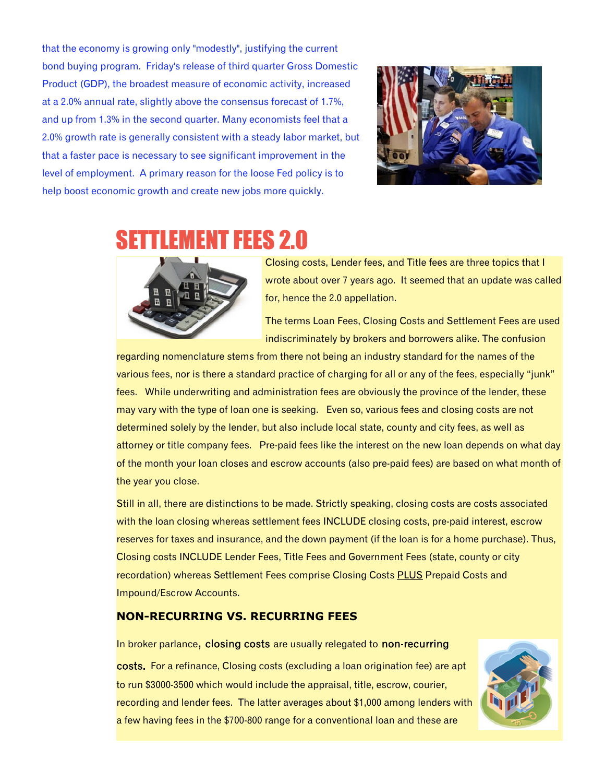that the economy is growing only "modestly", justifying the current bond buying program. Friday's release of third quarter Gross Domestic Product (GDP), the broadest measure of economic activity, increased at a 2.0% annual rate, slightly above the consensus forecast of 1.7%, and up from 1.3% in the second quarter. Many economists feel that a 2.0% growth rate is generally consistent with a steady labor market, but that a faster pace is necessary to see significant improvement in the level of employment. A primary reason for the loose Fed policy is to help boost economic growth and create new jobs more quickly.



### SETTLEMENT FEES 2.0



Closing costs, Lender fees, and Title fees are three topics that I wrote about over 7 years ago. It seemed that an update was called for, hence the 2.0 appellation.

The terms Loan Fees, Closing Costs and Settlement Fees are used indiscriminately by brokers and borrowers alike. The confusion

regarding nomenclature stems from there not being an industry standard for the names of the various fees, nor is there a standard practice of charging for all or any of the fees, especially "junk" fees. While underwriting and administration fees are obviously the province of the lender, these may vary with the type of loan one is seeking. Even so, various fees and closing costs are not determined solely by the lender, but also include local state, county and city fees, as well as attorney or title company fees. Pre-paid fees like the interest on the new loan depends on what day of the month your loan closes and escrow accounts (also pre-paid fees) are based on what month of the year you close.

Still in all, there are distinctions to be made. Strictly speaking, closing costs are costs associated with the loan closing whereas settlement fees INCLUDE closing costs, pre-paid interest, escrow reserves for taxes and insurance, and the down payment (if the loan is for a home purchase). Thus, Closing costs INCLUDE Lender Fees, Title Fees and Government Fees (state, county or city recordation) whereas Settlement Fees comprise Closing Costs PLUS Prepaid Costs and Impound/Escrow Accounts.

#### **NON-RECURRING VS. RECURRING FEES**

In broker parlance, closing costs are usually relegated to non-recurring costs. For a refinance, Closing costs (excluding a loan origination fee) are apt to run \$3000-3500 which would include the appraisal, title, escrow, courier, recording and lender fees. The latter averages about \$1,000 among lenders with a few having fees in the \$700-800 range for a conventional loan and these are

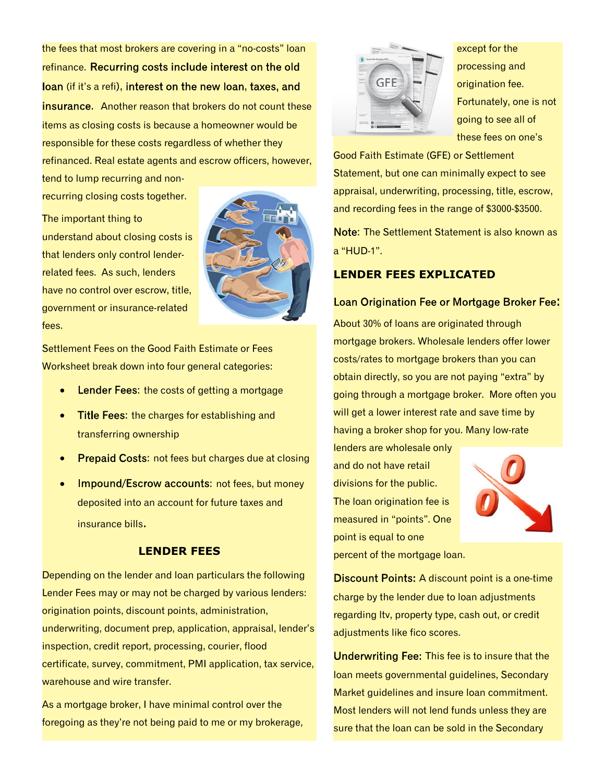the fees that most brokers are covering in a "no-costs" loan refinance. Recurring costs include interest on the old loan (if it's a refi), interest on the new loan, taxes, and **insurance.** Another reason that brokers do not count these items as closing costs is because a homeowner would be responsible for these costs regardless of whether they refinanced. Real estate agents and escrow officers, however,

tend to lump recurring and nonrecurring closing costs together.

The important thing to understand about closing costs is that lenders only control lenderrelated fees. As such, lenders have no control over escrow, title, government or insurance-related fees.



Settlement Fees on the Good Faith Estimate or Fees Worksheet break down into four general categories:

- Lender Fees: the costs of getting a mortgage
- Title Fees: the charges for establishing and transferring ownership
- Prepaid Costs: not fees but charges due at closing
- Impound/Escrow accounts: not fees, but money deposited into an account for future taxes and insurance bills.

#### **LENDER FEES**

Depending on the lender and loan particulars the following Lender Fees may or may not be charged by various lenders: origination points, discount points, administration, underwriting, document prep, application, appraisal, lender's inspection, credit report, processing, courier, flood certificate, survey, commitment, PMI application, tax service, warehouse and wire transfer.

As a mortgage broker, I have minimal control over the foregoing as they're not being paid to me or my brokerage,



except for the processing and origination fee. Fortunately, one is not going to see all of these fees on one's

Good Faith Estimate (GFE) or Settlement Statement, but one can minimally expect to see appraisal, underwriting, processing, title, escrow, and recording fees in the range of \$3000-\$3500.

Note: The Settlement Statement is also known as a "HUD-1".

#### **LENDER FEES EXPLICATED**

Loan Origination Fee or Mortgage Broker Fee: About 30% of loans are originated through mortgage brokers. Wholesale lenders offer lower costs/rates to mortgage brokers than you can obtain directly, so you are not paying "extra" by going through a mortgage broker. More often you will get a lower interest rate and save time by having a broker shop for you. Many low-rate

lenders are wholesale only and do not have retail divisions for the public. The loan origination fee is measured in "points". One point is equal to one



percent of the mortgage loan.

**Discount Points:** A discount point is a one-time charge by the lender due to loan adjustments regarding ltv, property type, cash out, or credit adjustments like fico scores.

Underwriting Fee: This fee is to insure that the loan meets governmental guidelines, Secondary Market guidelines and insure loan commitment. Most lenders will not lend funds unless they are sure that the loan can be sold in the Secondary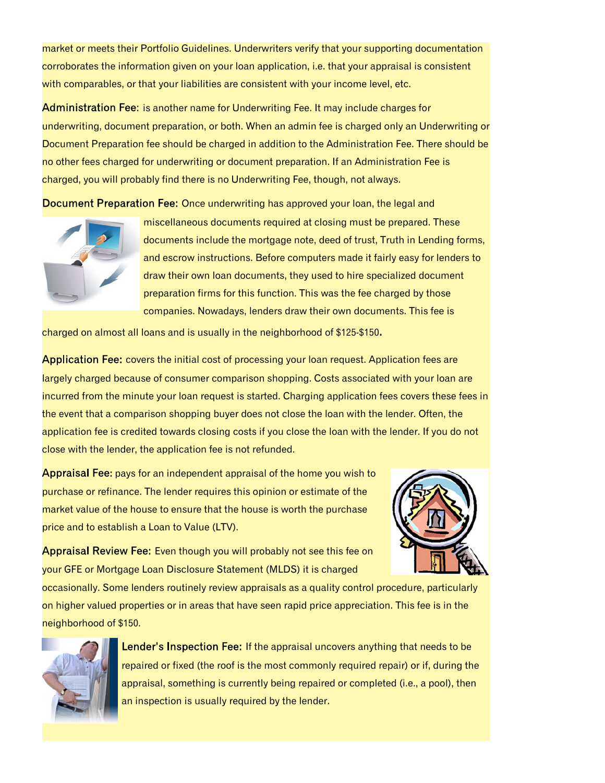market or meets their Portfolio Guidelines. Underwriters verify that your supporting documentation corroborates the information given on your loan application, i.e. that your appraisal is consistent with comparables, or that your liabilities are consistent with your income level, etc.

Administration Fee: is another name for Underwriting Fee. It may include charges for underwriting, document preparation, or both. When an admin fee is charged only an Underwriting or Document Preparation fee should be charged in addition to the Administration Fee. There should be no other fees charged for underwriting or document preparation. If an Administration Fee is charged, you will probably find there is no Underwriting Fee, though, not always.

Document Preparation Fee: Once underwriting has approved your loan, the legal and



miscellaneous documents required at closing must be prepared. These documents include the mortgage note, deed of trust, Truth in Lending forms, and escrow instructions. Before computers made it fairly easy for lenders to draw their own loan documents, they used to hire specialized document preparation firms for this function. This was the fee charged by those companies. Nowadays, lenders draw their own documents. This fee is

charged on almost all loans and is usually in the neighborhood of \$125-\$150.

Application Fee: covers the initial cost of processing your loan request. Application fees are largely charged because of consumer comparison shopping. Costs associated with your loan are incurred from the minute your loan request is started. Charging application fees covers these fees in the event that a comparison shopping buyer does not close the loan with the lender. Often, the application fee is credited towards closing costs if you close the loan with the lender. If you do not close with the lender, the application fee is not refunded.

Appraisal Fee: pays for an independent appraisal of the home you wish to purchase or refinance. The lender requires this opinion or estimate of the market value of the house to ensure that the house is worth the purchase price and to establish a Loan to Value (LTV).



Appraisal Review Fee: Even though you will probably not see this fee on your GFE or Mortgage Loan Disclosure Statement (MLDS) it is charged

occasionally. Some lenders routinely review appraisals as a quality control procedure, particularly on higher valued properties or in areas that have seen rapid price appreciation. This fee is in the neighborhood of \$150.



Lender's Inspection Fee: If the appraisal uncovers anything that needs to be repaired or fixed (the roof is the most commonly required repair) or if, during the appraisal, something is currently being repaired or completed (i.e., a pool), then an inspection is usually required by the lender.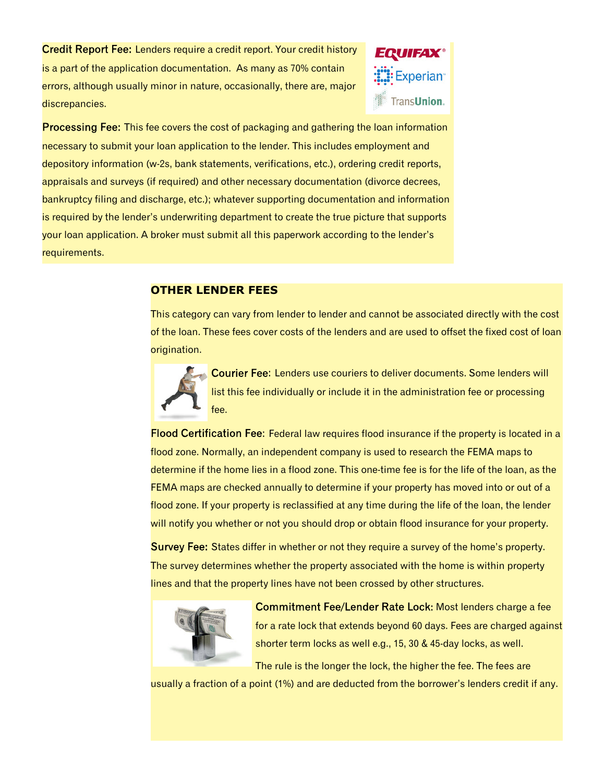Credit Report Fee: Lenders require a credit report. Your credit history is a part of the application documentation. As many as 70% contain errors, although usually minor in nature, occasionally, there are, major discrepancies.



**Processing Fee:** This fee covers the cost of packaging and gathering the loan information necessary to submit your loan application to the lender. This includes employment and depository information (w-2s, bank statements, verifications, etc.), ordering credit reports, appraisals and surveys (if required) and other necessary documentation (divorce decrees, bankruptcy filing and discharge, etc.); whatever supporting documentation and information is required by the lender's underwriting department to create the true picture that supports your loan application. A broker must submit all this paperwork according to the lender's requirements.

#### **OTHER LENDER FEES**

This category can vary from lender to lender and cannot be associated directly with the cost of the loan. These fees cover costs of the lenders and are used to offset the fixed cost of loan origination.



Courier Fee: Lenders use couriers to deliver documents. Some lenders will list this fee individually or include it in the administration fee or processing fee.

Flood Certification Fee: Federal law requires flood insurance if the property is located in a flood zone. Normally, an independent company is used to research the FEMA maps to determine if the home lies in a flood zone. This one-time fee is for the life of the loan, as the FEMA maps are checked annually to determine if your property has moved into or out of a flood zone. If your property is reclassified at any time during the life of the loan, the lender will notify you whether or not you should drop or obtain flood insurance for your property.

Survey Fee: States differ in whether or not they require a survey of the home's property. The survey determines whether the property associated with the home is within property lines and that the property lines have not been crossed by other structures.



Commitment Fee/Lender Rate Lock: Most lenders charge a fee for a rate lock that extends beyond 60 days. Fees are charged against shorter term locks as well e.g., 15, 30 & 45-day locks, as well.

The rule is the longer the lock, the higher the fee. The fees are

usually a fraction of a point (1%) and are deducted from the borrower's lenders credit if any.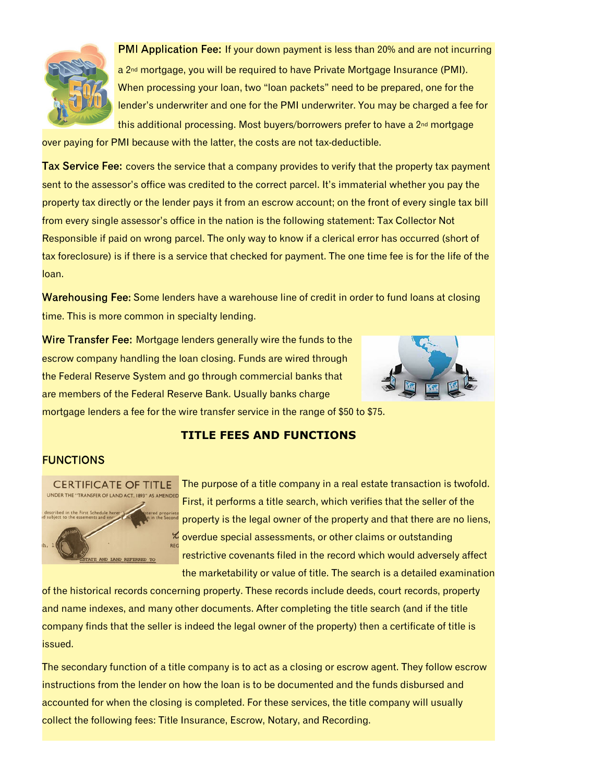

PMI Application Fee: If your down payment is less than 20% and are not incurring a 2<sup>nd</sup> mortgage, you will be required to have Private Mortgage Insurance (PMI). When processing your loan, two "loan packets" need to be prepared, one for the lender's underwriter and one for the PMI underwriter. You may be charged a fee for this additional processing. Most buyers/borrowers prefer to have a  $2<sup>nd</sup>$  mortgage

over paying for PMI because with the latter, the costs are not tax-deductible.

Tax Service Fee: covers the service that a company provides to verify that the property tax payment sent to the assessor's office was credited to the correct parcel. It's immaterial whether you pay the property tax directly or the lender pays it from an escrow account; on the front of every single tax bill from every single assessor's office in the nation is the following statement: Tax Collector Not Responsible if paid on wrong parcel. The only way to know if a clerical error has occurred (short of tax foreclosure) is if there is a service that checked for payment. The one time fee is for the life of the loan.

Warehousing Fee: Some lenders have a warehouse line of credit in order to fund loans at closing time. This is more common in specialty lending.

Wire Transfer Fee: Mortgage lenders generally wire the funds to the escrow company handling the loan closing. Funds are wired through the Federal Reserve System and go through commercial banks that are members of the Federal Reserve Bank. Usually banks charge



mortgage lenders a fee for the wire transfer service in the range of \$50 to \$75.

#### **TITLE FEES AND FUNCTIONS**

#### **FUNCTIONS**



The purpose of a title company in a real estate transaction is twofold. First, it performs a title search, which verifies that the seller of the property is the legal owner of the property and that there are no liens, overdue special assessments, or other claims or outstanding restrictive covenants filed in the record which would adversely affect the marketability or value of title. The search is a detailed examination

of the historical records concerning property. These records include deeds, court records, property and name indexes, and many other documents. After completing the title search (and if the title company finds that the seller is indeed the legal owner of the property) then a certificate of title is issued.

The secondary function of a title company is to act as a closing or escrow agent. They follow escrow instructions from the lender on how the loan is to be documented and the funds disbursed and accounted for when the closing is completed. For these services, the title company will usually collect the following fees: Title Insurance, Escrow, Notary, and Recording.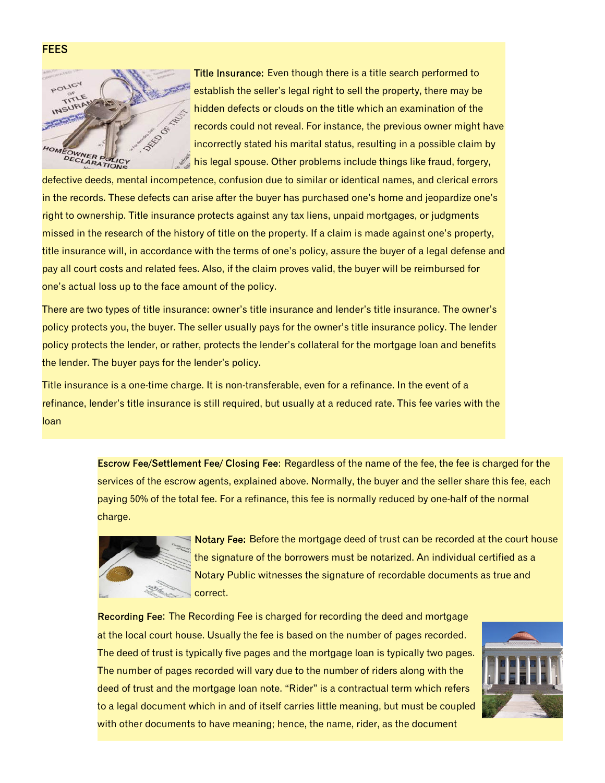

Title Insurance: Even though there is a title search performed to establish the seller's legal right to sell the property, there may be hidden defects or clouds on the title which an examination of the records could not reveal. For instance, the previous owner might have incorrectly stated his marital status, resulting in a possible claim by his legal spouse. Other problems include things like fraud, forgery,

defective deeds, mental incompetence, confusion due to similar or identical names, and clerical errors in the records. These defects can arise after the buyer has purchased one's home and jeopardize one's right to ownership. Title insurance protects against any tax liens, unpaid mortgages, or judgments missed in the research of the history of title on the property. If a claim is made against one's property, title insurance will, in accordance with the terms of one's policy, assure the buyer of a legal defense and pay all court costs and related fees. Also, if the claim proves valid, the buyer will be reimbursed for one's actual loss up to the face amount of the policy.

There are two types of title insurance: owner's title insurance and lender's title insurance. The owner's policy protects you, the buyer. The seller usually pays for the owner's title insurance policy. The lender policy protects the lender, or rather, protects the lender's collateral for the mortgage loan and benefits the lender. The buyer pays for the lender's policy.

Title insurance is a one-time charge. It is non-transferable, even for a refinance. In the event of a refinance, lender's title insurance is still required, but usually at a reduced rate. This fee varies with the loan

> Escrow Fee/Settlement Fee/ Closing Fee: Regardless of the name of the fee, the fee is charged for the services of the escrow agents, explained above. Normally, the buyer and the seller share this fee, each paying 50% of the total fee. For a refinance, this fee is normally reduced by one-half of the normal charge.



Notary Fee: Before the mortgage deed of trust can be recorded at the court house the signature of the borrowers must be notarized. An individual certified as a Notary Public witnesses the signature of recordable documents as true and correct.

Recording Fee: The Recording Fee is charged for recording the deed and mortgage at the local court house. Usually the fee is based on the number of pages recorded. The deed of trust is typically five pages and the mortgage loan is typically two pages. The number of pages recorded will vary due to the number of riders along with the deed of trust and the mortgage loan note. "Rider" is a contractual term which refers to a legal document which in and of itself carries little meaning, but must be coupled with other documents to have meaning; hence, the name, rider, as the document



**FEES**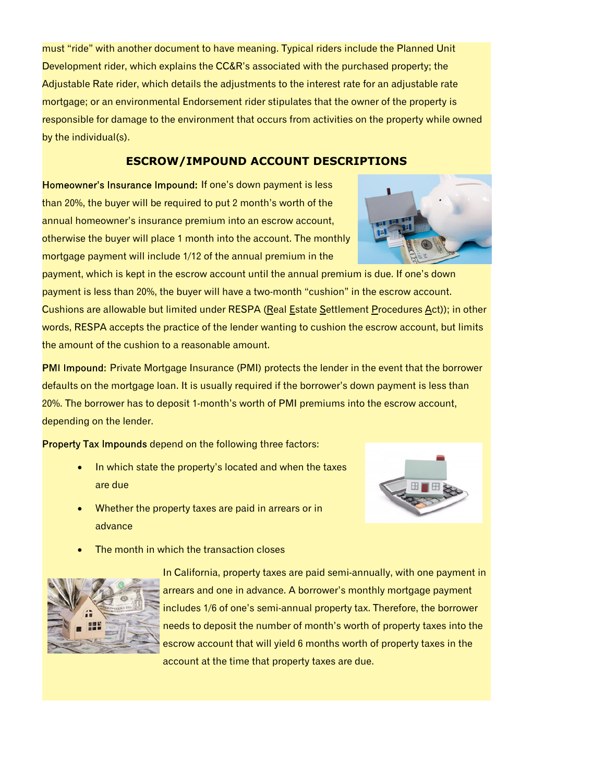must "ride" with another document to have meaning. Typical riders include the Planned Unit Development rider, which explains the CC&R's associated with the purchased property; the Adjustable Rate rider, which details the adjustments to the interest rate for an adjustable rate mortgage; or an environmental Endorsement rider stipulates that the owner of the property is responsible for damage to the environment that occurs from activities on the property while owned by the individual(s).

#### **ESCROW/IMPOUND ACCOUNT DESCRIPTIONS**

Homeowner's Insurance Impound: If one's down payment is less than 20%, the buyer will be required to put 2 month's worth of the annual homeowner's insurance premium into an escrow account, otherwise the buyer will place 1 month into the account. The monthly mortgage payment will include 1/12 of the annual premium in the



PMI Impound: Private Mortgage Insurance (PMI) protects the lender in the event that the borrower defaults on the mortgage loan. It is usually required if the borrower's down payment is less than 20%. The borrower has to deposit 1-month's worth of PMI premiums into the escrow account, depending on the lender.

Property Tax Impounds depend on the following three factors:

the amount of the cushion to a reasonable amount.

- · In which state the property's located and when the taxes are due
- Whether the property taxes are paid in arrears or in advance



The month in which the transaction closes



In California, property taxes are paid semi-annually, with one payment in arrears and one in advance. A borrower's monthly mortgage payment includes 1/6 of one's semi-annual property tax. Therefore, the borrower needs to deposit the number of month's worth of property taxes into the escrow account that will yield 6 months worth of property taxes in the account at the time that property taxes are due.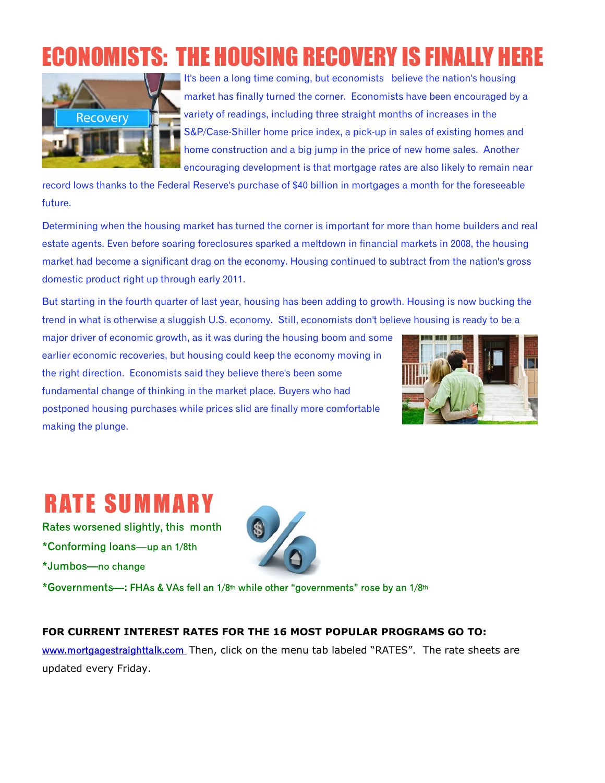### **ECONOMISTS: THE HOUSING RECOVERY IS FINALLY**



It's been a long time coming, but economists believe the nation's housing market has finally turned the corner. Economists have been encouraged by a variety of readings, including three straight months of increases in the S&P/Case-Shiller home price index, a pick-up in sales of existing homes and home construction and a big jump in the price of new home sales. Another encouraging development is that mortgage rates are also likely to remain near

record lows thanks to the Federal Reserve's purchase of \$40 billion in mortgages a month for the foreseeable future.

Determining when the housing market has turned the corner is important for more than home builders and real estate agents. Even before soaring foreclosures sparked a meltdown in financial markets in 2008, the housing market had become a significant drag on the economy. Housing continued to subtract from the nation's gross domestic product right up through early 2011.

But starting in the fourth quarter of last year, housing has been adding to growth. Housing is now bucking the trend in what is otherwise a sluggish U.S. economy. Still, economists don't believe housing is ready to be a

major driver of economic growth, as it was during the housing boom and some earlier economic recoveries, but housing could keep the economy moving in the right direction. Economists said they believe there's been some fundamental change of thinking in the market place. Buyers who had postponed housing purchases while prices slid are finally more comfortable making the plunge.



### **RATE SUMMARY**

Rates worsened slightly, this month \*Conforming loans-up an 1/8th \*Jumbos-no change



\*Governments—: FHAs & VAs fell an 1/8<sup>th</sup> while other "governments" rose by an 1/8<sup>th</sup>

### **FOR CURRENT INTEREST RATES FOR THE 16 MOST POPULAR PROGRAMS GO TO:**

www.mortgagestraighttalk.com Then, click on the menu tab labeled "RATES". The rate sheets are updated every Friday.